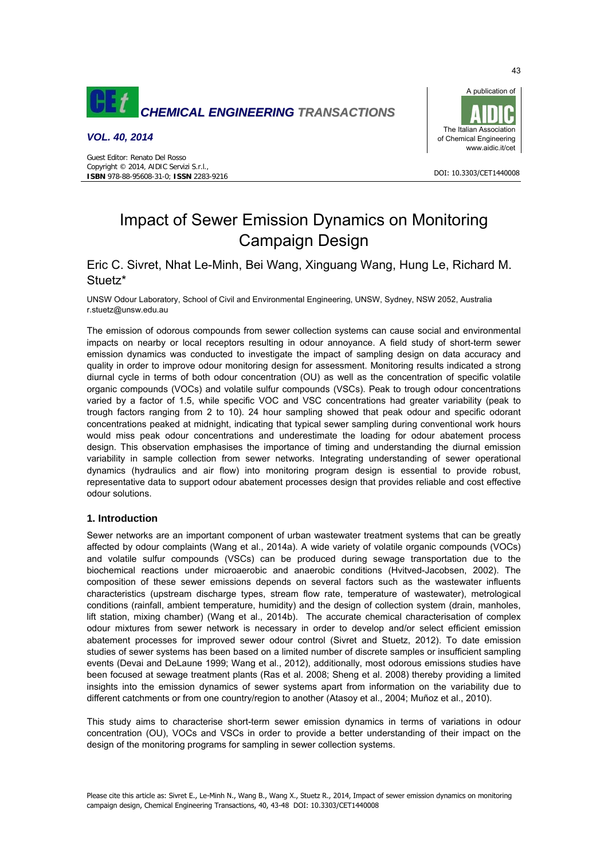

# *VOL. 40, 2014*



#### DOI: 10.3303/CET1440008

# Impact of Sewer Emission Dynamics on Monitoring Campaign Design

# Eric C. Sivret, Nhat Le-Minh, Bei Wang, Xinguang Wang, Hung Le, Richard M. Stuetz\*

UNSW Odour Laboratory, School of Civil and Environmental Engineering, UNSW, Sydney, NSW 2052, Australia r.stuetz@unsw.edu.au

The emission of odorous compounds from sewer collection systems can cause social and environmental impacts on nearby or local receptors resulting in odour annoyance. A field study of short-term sewer emission dynamics was conducted to investigate the impact of sampling design on data accuracy and quality in order to improve odour monitoring design for assessment. Monitoring results indicated a strong diurnal cycle in terms of both odour concentration (OU) as well as the concentration of specific volatile organic compounds (VOCs) and volatile sulfur compounds (VSCs). Peak to trough odour concentrations varied by a factor of 1.5, while specific VOC and VSC concentrations had greater variability (peak to trough factors ranging from 2 to 10). 24 hour sampling showed that peak odour and specific odorant concentrations peaked at midnight, indicating that typical sewer sampling during conventional work hours would miss peak odour concentrations and underestimate the loading for odour abatement process design. This observation emphasises the importance of timing and understanding the diurnal emission variability in sample collection from sewer networks. Integrating understanding of sewer operational dynamics (hydraulics and air flow) into monitoring program design is essential to provide robust, representative data to support odour abatement processes design that provides reliable and cost effective odour solutions.

## **1. Introduction**

Sewer networks are an important component of urban wastewater treatment systems that can be greatly affected by odour complaints (Wang et al., 2014a). A wide variety of volatile organic compounds (VOCs) and volatile sulfur compounds (VSCs) can be produced during sewage transportation due to the biochemical reactions under microaerobic and anaerobic conditions (Hvitved-Jacobsen, 2002). The composition of these sewer emissions depends on several factors such as the wastewater influents characteristics (upstream discharge types, stream flow rate, temperature of wastewater), metrological conditions (rainfall, ambient temperature, humidity) and the design of collection system (drain, manholes, lift station, mixing chamber) (Wang et al., 2014b). The accurate chemical characterisation of complex odour mixtures from sewer network is necessary in order to develop and/or select efficient emission abatement processes for improved sewer odour control (Sivret and Stuetz, 2012). To date emission studies of sewer systems has been based on a limited number of discrete samples or insufficient sampling events (Devai and DeLaune 1999; Wang et al., 2012), additionally, most odorous emissions studies have been focused at sewage treatment plants (Ras et al. 2008; Sheng et al. 2008) thereby providing a limited insights into the emission dynamics of sewer systems apart from information on the variability due to different catchments or from one country/region to another (Atasoy et al., 2004; Muñoz et al., 2010).

This study aims to characterise short-term sewer emission dynamics in terms of variations in odour concentration (OU), VOCs and VSCs in order to provide a better understanding of their impact on the design of the monitoring programs for sampling in sewer collection systems.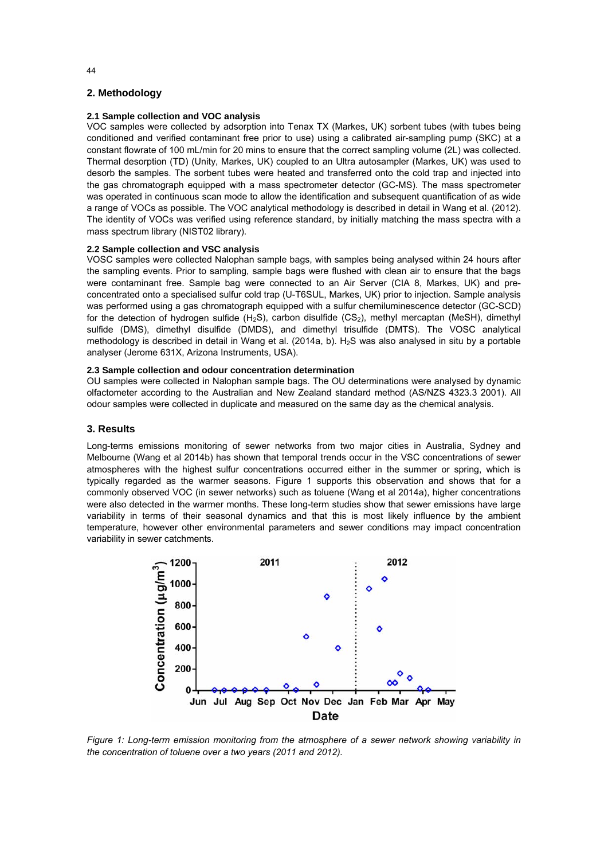# **2. Methodology**

# **2.1 Sample collection and VOC analysis**

VOC samples were collected by adsorption into Tenax TX (Markes, UK) sorbent tubes (with tubes being conditioned and verified contaminant free prior to use) using a calibrated air-sampling pump (SKC) at a constant flowrate of 100 mL/min for 20 mins to ensure that the correct sampling volume (2L) was collected. Thermal desorption (TD) (Unity, Markes, UK) coupled to an Ultra autosampler (Markes, UK) was used to desorb the samples. The sorbent tubes were heated and transferred onto the cold trap and injected into the gas chromatograph equipped with a mass spectrometer detector (GC-MS). The mass spectrometer was operated in continuous scan mode to allow the identification and subsequent quantification of as wide a range of VOCs as possible. The VOC analytical methodology is described in detail in Wang et al. (2012). The identity of VOCs was verified using reference standard, by initially matching the mass spectra with a mass spectrum library (NIST02 library).

#### **2.2 Sample collection and VSC analysis**

VOSC samples were collected Nalophan sample bags, with samples being analysed within 24 hours after the sampling events. Prior to sampling, sample bags were flushed with clean air to ensure that the bags were contaminant free. Sample bag were connected to an Air Server (CIA 8, Markes, UK) and preconcentrated onto a specialised sulfur cold trap (U-T6SUL, Markes, UK) prior to injection. Sample analysis was performed using a gas chromatograph equipped with a sulfur chemiluminescence detector (GC-SCD) for the detection of hydrogen sulfide  $(H_2S)$ , carbon disulfide  $(CS_2)$ , methyl mercaptan (MeSH), dimethyl sulfide (DMS), dimethyl disulfide (DMDS), and dimethyl trisulfide (DMTS). The VOSC analytical methodology is described in detail in Wang et al. (2014a, b).  $H_2S$  was also analysed in situ by a portable analyser (Jerome 631X, Arizona Instruments, USA).

#### **2.3 Sample collection and odour concentration determination**

OU samples were collected in Nalophan sample bags. The OU determinations were analysed by dynamic olfactometer according to the Australian and New Zealand standard method (AS/NZS 4323.3 2001). All odour samples were collected in duplicate and measured on the same day as the chemical analysis.

# **3. Results**

Long-terms emissions monitoring of sewer networks from two major cities in Australia, Sydney and Melbourne (Wang et al 2014b) has shown that temporal trends occur in the VSC concentrations of sewer atmospheres with the highest sulfur concentrations occurred either in the summer or spring, which is typically regarded as the warmer seasons. Figure 1 supports this observation and shows that for a commonly observed VOC (in sewer networks) such as toluene (Wang et al 2014a), higher concentrations were also detected in the warmer months. These long-term studies show that sewer emissions have large variability in terms of their seasonal dynamics and that this is most likely influence by the ambient temperature, however other environmental parameters and sewer conditions may impact concentration variability in sewer catchments.



*Figure 1: Long-term emission monitoring from the atmosphere of a sewer network showing variability in the concentration of toluene over a two years (2011 and 2012).*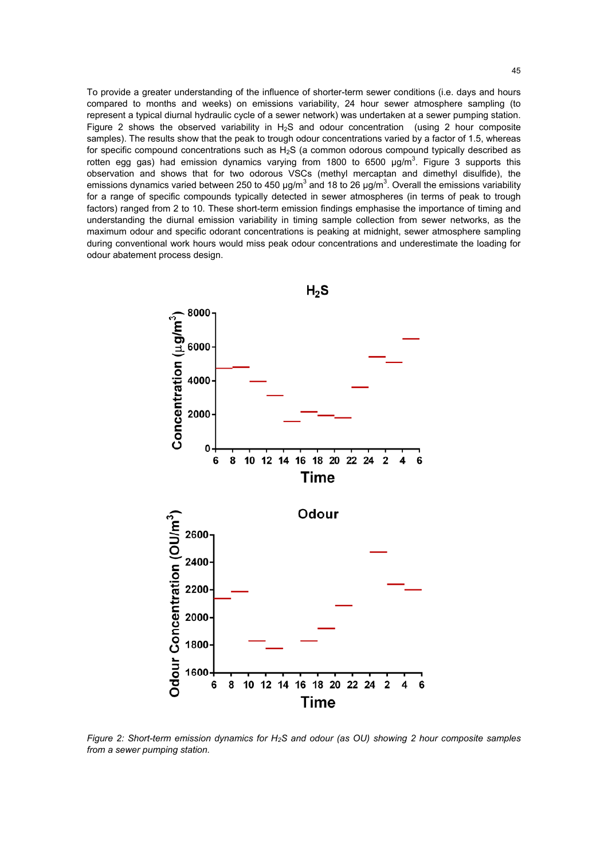To provide a greater understanding of the influence of shorter-term sewer conditions (i.e. days and hours compared to months and weeks) on emissions variability, 24 hour sewer atmosphere sampling (to represent a typical diurnal hydraulic cycle of a sewer network) was undertaken at a sewer pumping station. Figure 2 shows the observed variability in  $H_2S$  and odour concentration (using 2 hour composite samples). The results show that the peak to trough odour concentrations varied by a factor of 1.5, whereas for specific compound concentrations such as H<sub>2</sub>S (a common odorous compound typically described as rotten egg gas) had emission dynamics varying from 1800 to 6500  $\mu$ g/m<sup>3</sup>. Figure 3 supports this observation and shows that for two odorous VSCs (methyl mercaptan and dimethyl disulfide), the emissions dynamics varied between 250 to 450  $\mu$ g/m<sup>3</sup> and 18 to 26  $\mu$ g/m<sup>3</sup>. Overall the emissions variability for a range of specific compounds typically detected in sewer atmospheres (in terms of peak to trough factors) ranged from 2 to 10. These short-term emission findings emphasise the importance of timing and understanding the diurnal emission variability in timing sample collection from sewer networks, as the maximum odour and specific odorant concentrations is peaking at midnight, sewer atmosphere sampling during conventional work hours would miss peak odour concentrations and underestimate the loading for odour abatement process design.



*Figure 2: Short-term emission dynamics for H2S and odour (as OU) showing 2 hour composite samples from a sewer pumping station.*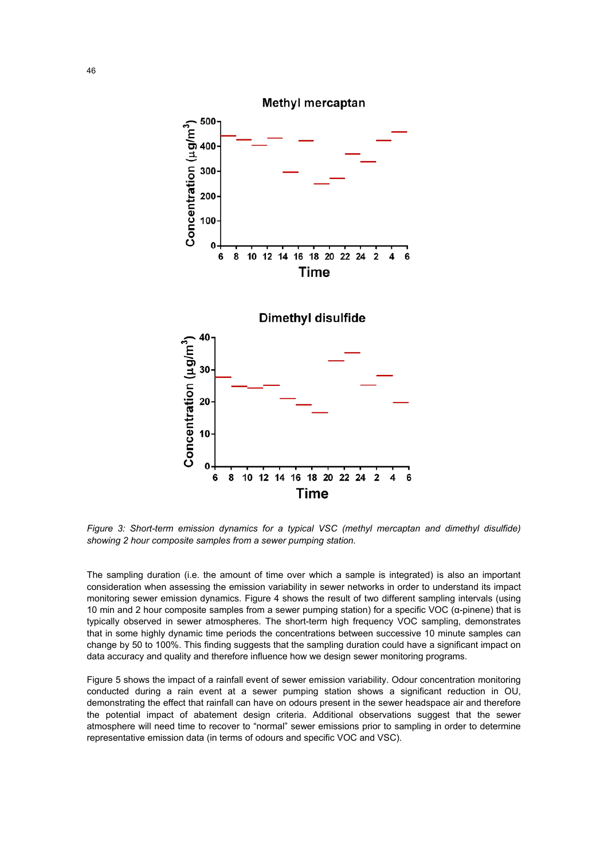

*Figure 3: Short-term emission dynamics for a typical VSC (methyl mercaptan and dimethyl disulfide) showing 2 hour composite samples from a sewer pumping station.* 

The sampling duration (i.e. the amount of time over which a sample is integrated) is also an important consideration when assessing the emission variability in sewer networks in order to understand its impact monitoring sewer emission dynamics. Figure 4 shows the result of two different sampling intervals (using 10 min and 2 hour composite samples from a sewer pumping station) for a specific VOC (α-pinene) that is typically observed in sewer atmospheres. The short-term high frequency VOC sampling, demonstrates that in some highly dynamic time periods the concentrations between successive 10 minute samples can change by 50 to 100%. This finding suggests that the sampling duration could have a significant impact on data accuracy and quality and therefore influence how we design sewer monitoring programs.

Figure 5 shows the impact of a rainfall event of sewer emission variability. Odour concentration monitoring conducted during a rain event at a sewer pumping station shows a significant reduction in OU, demonstrating the effect that rainfall can have on odours present in the sewer headspace air and therefore the potential impact of abatement design criteria. Additional observations suggest that the sewer atmosphere will need time to recover to "normal" sewer emissions prior to sampling in order to determine representative emission data (in terms of odours and specific VOC and VSC).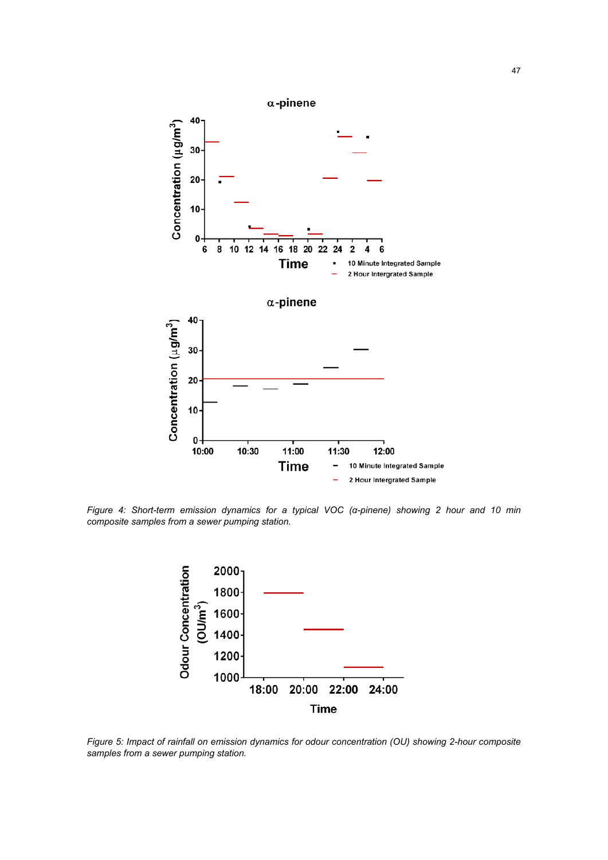

*Figure 4: Short-term emission dynamics for a typical VOC (α-pinene) showing 2 hour and 10 min composite samples from a sewer pumping station.* 



*Figure 5: Impact of rainfall on emission dynamics for odour concentration (OU) showing 2-hour composite samples from a sewer pumping station.*